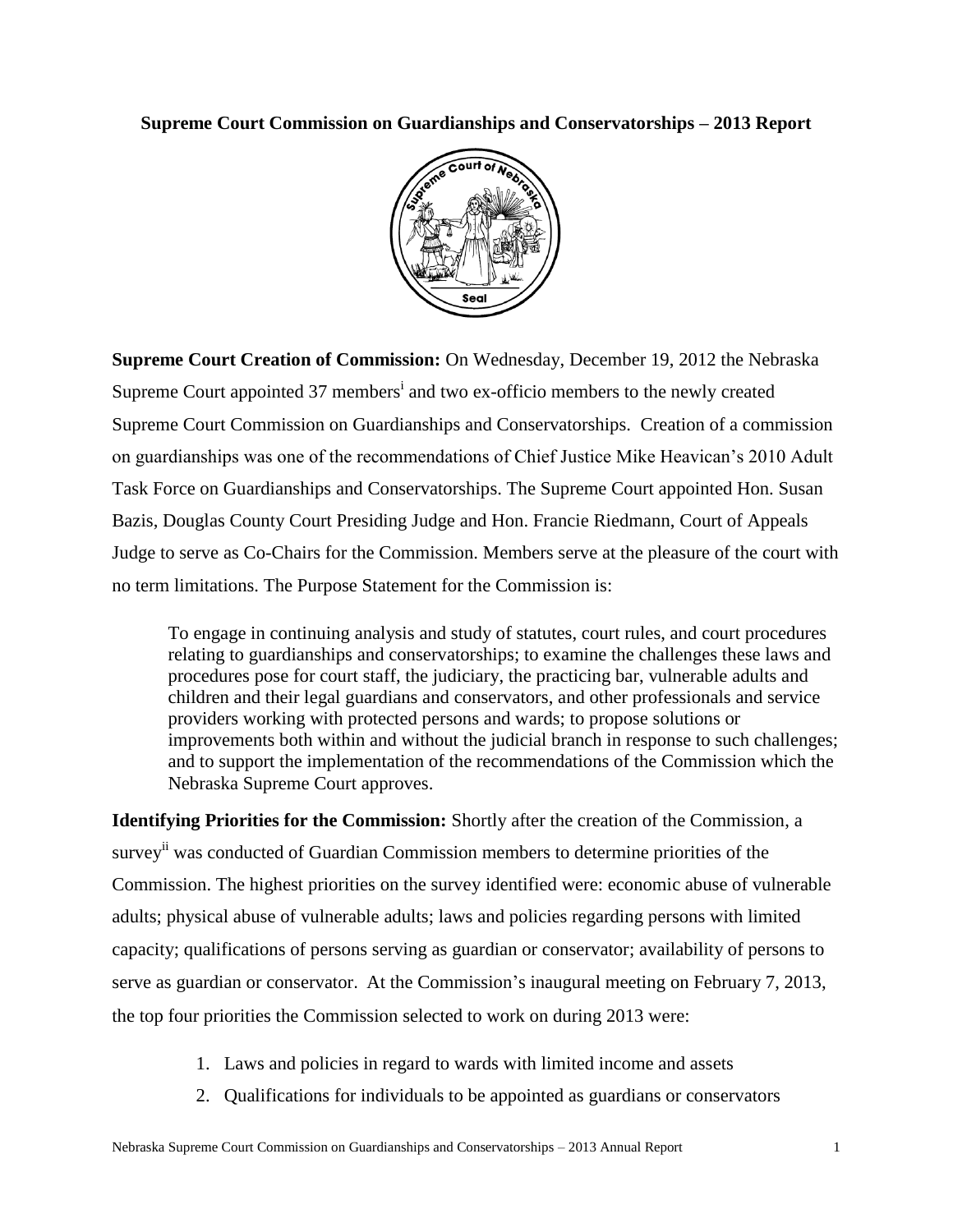## **Supreme Court Commission on Guardianships and Conservatorships – 2013 Report**



**Supreme Court Creation of Commission:** On Wednesday, December 19, 2012 the Nebraska Supreme Court appointed 37 members<sup>i</sup> and two ex-officio members to the newly created Supreme Court Commission on Guardianships and Conservatorships. Creation of a commission on guardianships was one of the recommendations of Chief Justice Mike Heavican's 2010 Adult Task Force on Guardianships and Conservatorships. The Supreme Court appointed Hon. Susan Bazis, Douglas County Court Presiding Judge and Hon. Francie Riedmann, Court of Appeals Judge to serve as Co-Chairs for the Commission. Members serve at the pleasure of the court with no term limitations. The Purpose Statement for the Commission is:

To engage in continuing analysis and study of statutes, court rules, and court procedures relating to guardianships and conservatorships; to examine the challenges these laws and procedures pose for court staff, the judiciary, the practicing bar, vulnerable adults and children and their legal guardians and conservators, and other professionals and service providers working with protected persons and wards; to propose solutions or improvements both within and without the judicial branch in response to such challenges; and to support the implementation of the recommendations of the Commission which the Nebraska Supreme Court approves.

**Identifying Priorities for the Commission:** Shortly after the creation of the Commission, a survey<sup>ii</sup> was conducted of Guardian Commission members to determine priorities of the Commission. The highest priorities on the survey identified were: economic abuse of vulnerable adults; physical abuse of vulnerable adults; laws and policies regarding persons with limited capacity; qualifications of persons serving as guardian or conservator; availability of persons to serve as guardian or conservator. At the Commission's inaugural meeting on February 7, 2013, the top four priorities the Commission selected to work on during 2013 were:

- 1. Laws and policies in regard to wards with limited income and assets
- 2. Qualifications for individuals to be appointed as guardians or conservators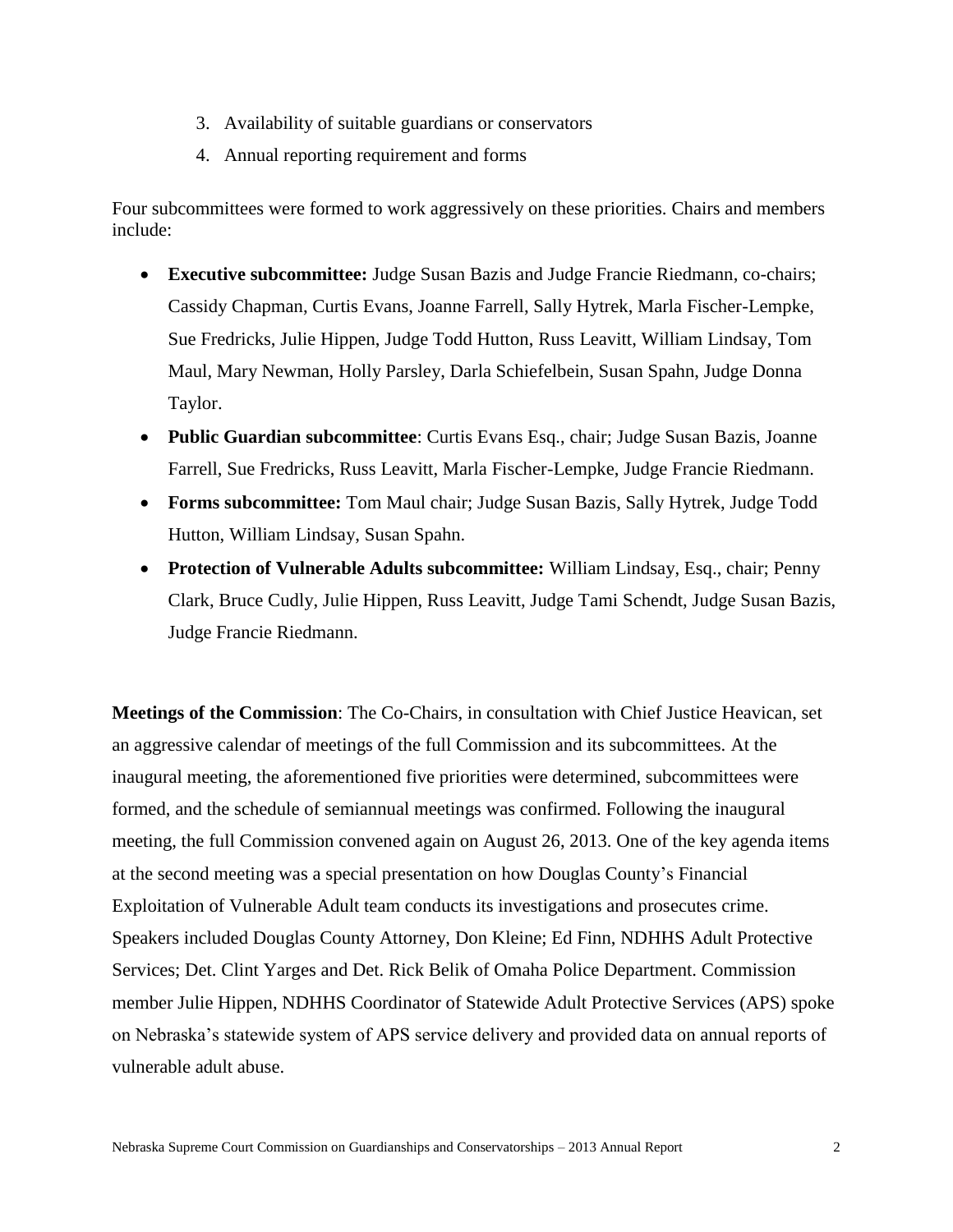- 3. Availability of suitable guardians or conservators
- 4. Annual reporting requirement and forms

Four subcommittees were formed to work aggressively on these priorities. Chairs and members include:

- **Executive subcommittee:** Judge Susan Bazis and Judge Francie Riedmann, co-chairs; Cassidy Chapman, Curtis Evans, Joanne Farrell, Sally Hytrek, Marla Fischer-Lempke, Sue Fredricks, Julie Hippen, Judge Todd Hutton, Russ Leavitt, William Lindsay, Tom Maul, Mary Newman, Holly Parsley, Darla Schiefelbein, Susan Spahn, Judge Donna Taylor.
- **Public Guardian subcommittee**: Curtis Evans Esq., chair; Judge Susan Bazis, Joanne Farrell, Sue Fredricks, Russ Leavitt, Marla Fischer-Lempke, Judge Francie Riedmann.
- **Forms subcommittee:** Tom Maul chair; Judge Susan Bazis, Sally Hytrek, Judge Todd Hutton, William Lindsay, Susan Spahn.
- **Protection of Vulnerable Adults subcommittee:** William Lindsay, Esq., chair; Penny Clark, Bruce Cudly, Julie Hippen, Russ Leavitt, Judge Tami Schendt, Judge Susan Bazis, Judge Francie Riedmann.

**Meetings of the Commission**: The Co-Chairs, in consultation with Chief Justice Heavican, set an aggressive calendar of meetings of the full Commission and its subcommittees. At the inaugural meeting, the aforementioned five priorities were determined, subcommittees were formed, and the schedule of semiannual meetings was confirmed. Following the inaugural meeting, the full Commission convened again on August 26, 2013. One of the key agenda items at the second meeting was a special presentation on how Douglas County's Financial Exploitation of Vulnerable Adult team conducts its investigations and prosecutes crime. Speakers included Douglas County Attorney, Don Kleine; Ed Finn, NDHHS Adult Protective Services; Det. Clint Yarges and Det. Rick Belik of Omaha Police Department. Commission member Julie Hippen, NDHHS Coordinator of Statewide Adult Protective Services (APS) spoke on Nebraska's statewide system of APS service delivery and provided data on annual reports of vulnerable adult abuse.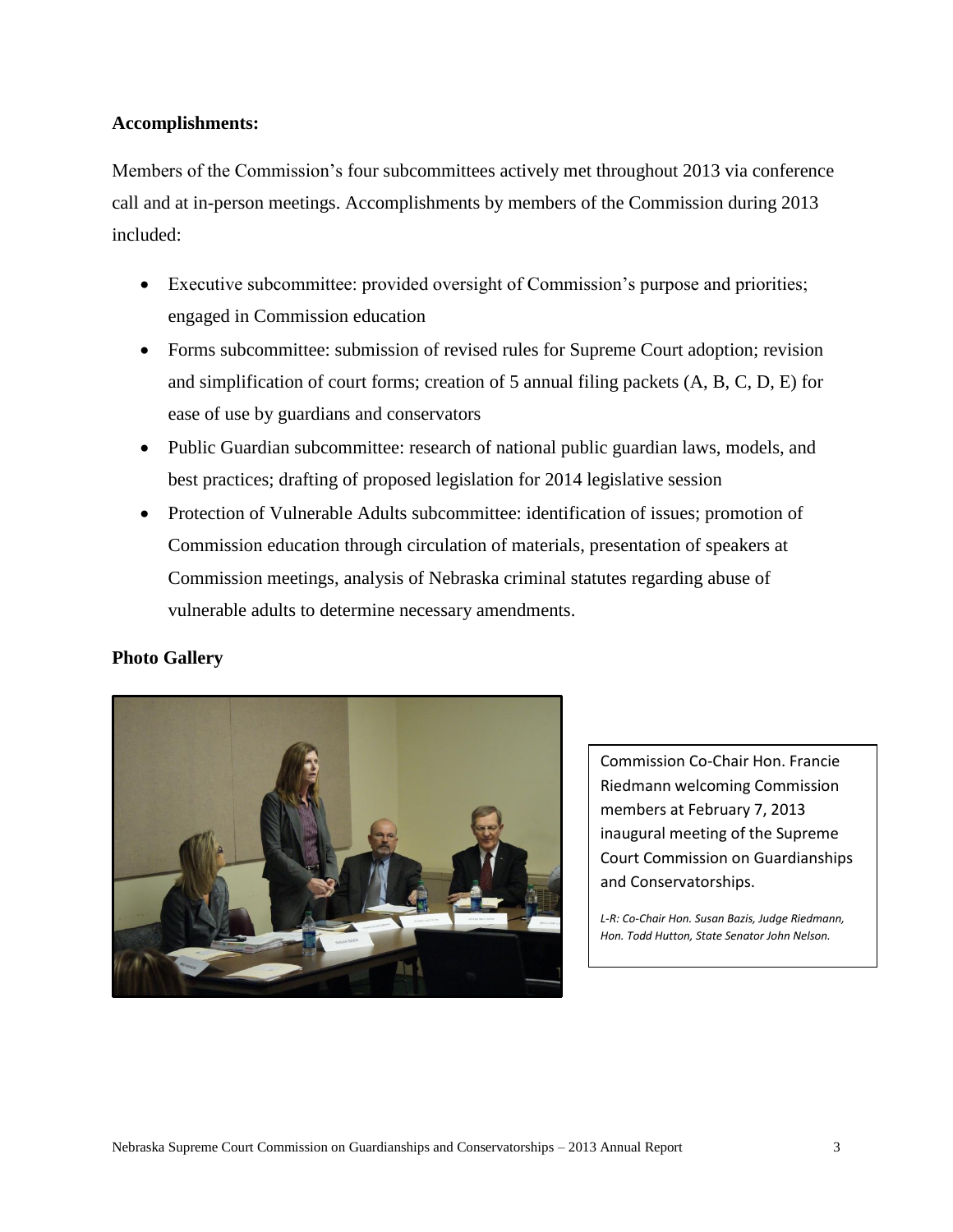## **Accomplishments:**

Members of the Commission's four subcommittees actively met throughout 2013 via conference call and at in-person meetings. Accomplishments by members of the Commission during 2013 included:

- Executive subcommittee: provided oversight of Commission's purpose and priorities; engaged in Commission education
- Forms subcommittee: submission of revised rules for Supreme Court adoption; revision and simplification of court forms; creation of 5 annual filing packets (A, B, C, D, E) for ease of use by guardians and conservators
- Public Guardian subcommittee: research of national public guardian laws, models, and best practices; drafting of proposed legislation for 2014 legislative session
- Protection of Vulnerable Adults subcommittee: identification of issues; promotion of Commission education through circulation of materials, presentation of speakers at Commission meetings, analysis of Nebraska criminal statutes regarding abuse of vulnerable adults to determine necessary amendments.

## **Photo Gallery**



Commission Co-Chair Hon. Francie Riedmann welcoming Commission members at February 7, 2013 inaugural meeting of the Supreme Court Commission on Guardianships and Conservatorships.

*L-R: Co-Chair Hon. Susan Bazis, Judge Riedmann, Hon. Todd Hutton, State Senator John Nelson.*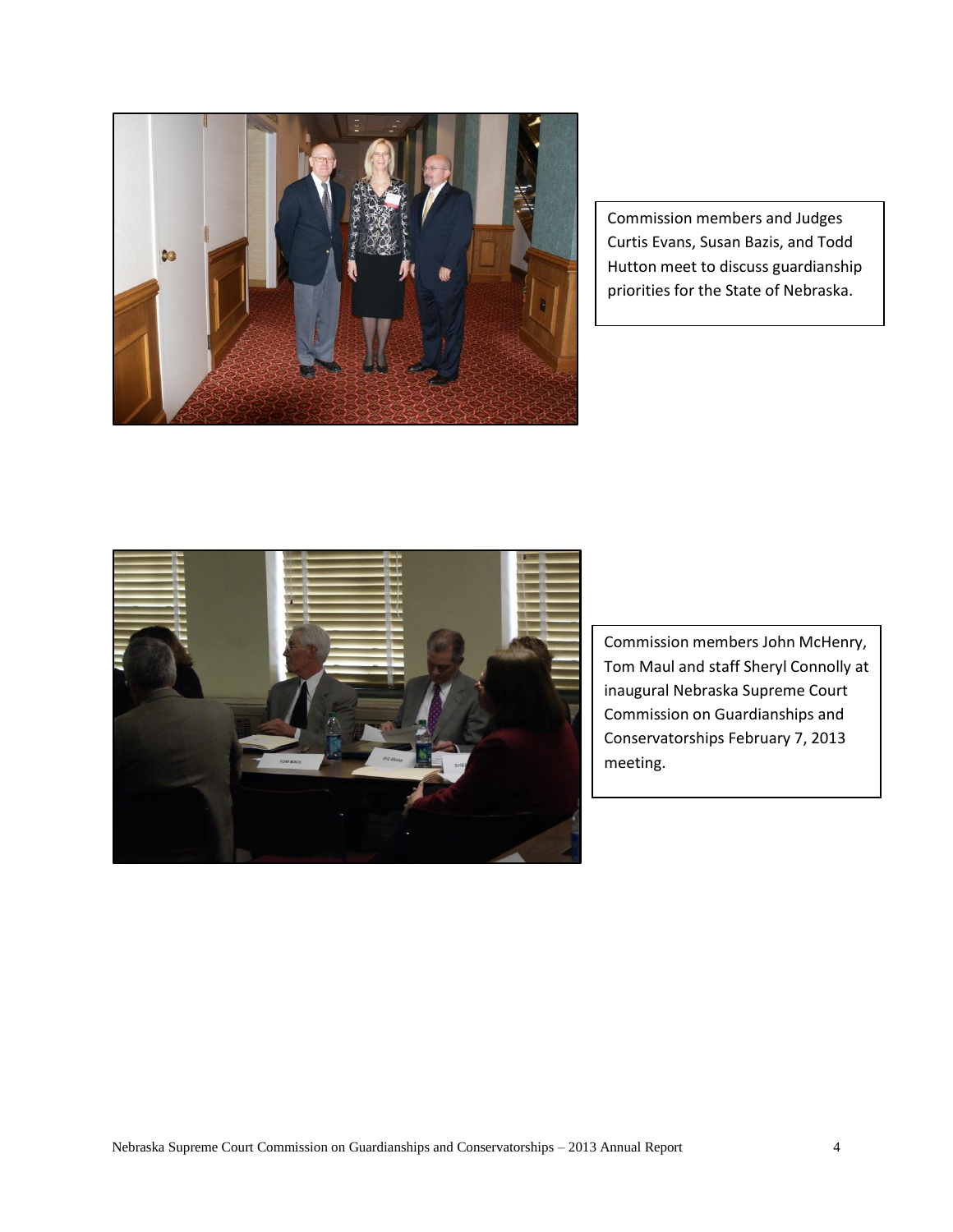

Commission members and Judges Curtis Evans, Susan Bazis, and Todd Hutton meet to discuss guardianship priorities for the State of Nebraska.



Commission members John McHenry, Tom Maul and staff Sheryl Connolly at inaugural Nebraska Supreme Court Commission on Guardianships and Conservatorships February 7, 2013 meeting.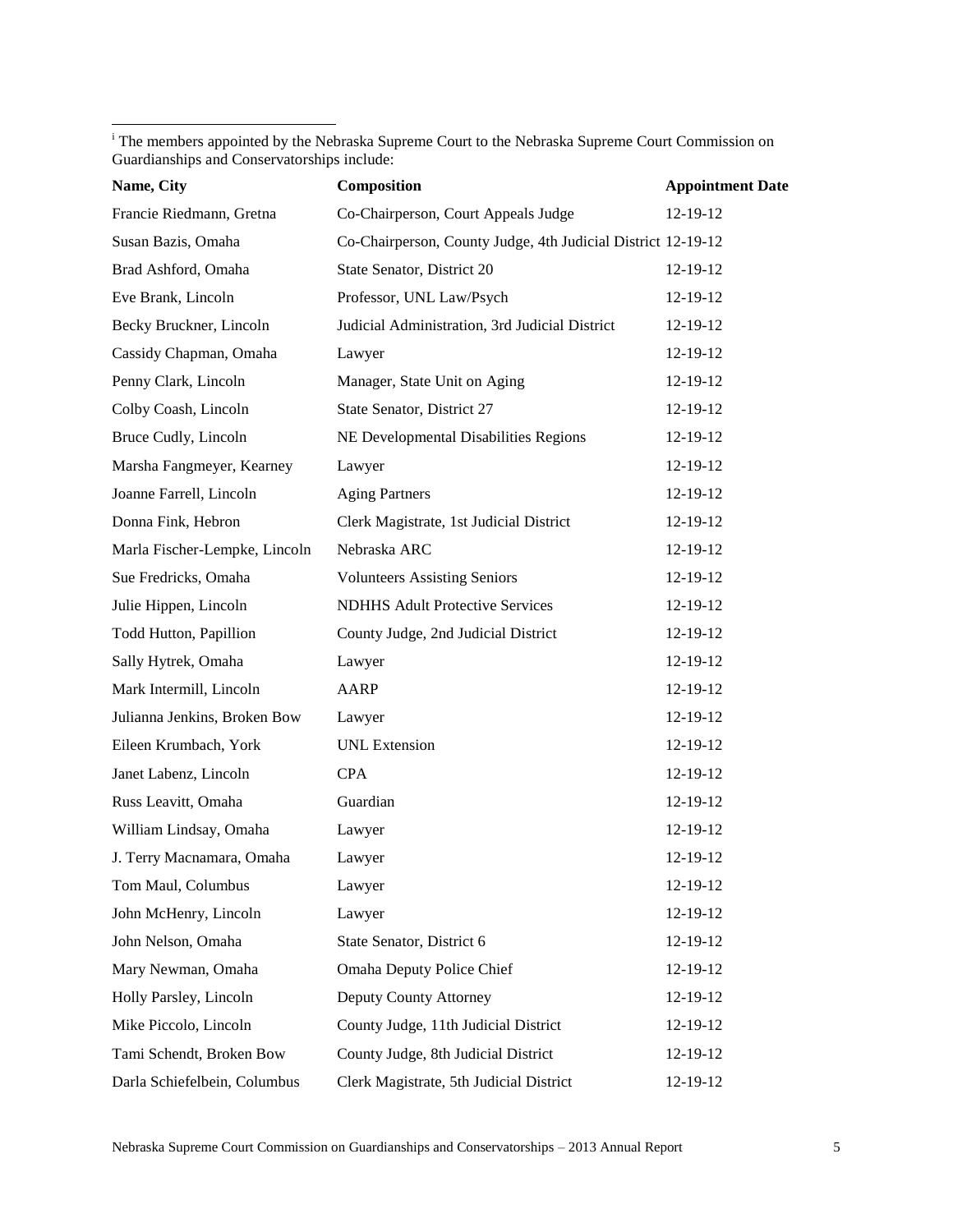<sup>i</sup> The members appointed by the Nebraska Supreme Court to the Nebraska Supreme Court Commission on Guardianships and Conservatorships include:

 $\overline{\phantom{a}}$ 

| Name, City                    | Composition                                                  | <b>Appointment Date</b> |
|-------------------------------|--------------------------------------------------------------|-------------------------|
| Francie Riedmann, Gretna      | Co-Chairperson, Court Appeals Judge                          | 12-19-12                |
| Susan Bazis, Omaha            | Co-Chairperson, County Judge, 4th Judicial District 12-19-12 |                         |
| Brad Ashford, Omaha           | State Senator, District 20                                   | 12-19-12                |
| Eve Brank, Lincoln            | Professor, UNL Law/Psych                                     | 12-19-12                |
| Becky Bruckner, Lincoln       | Judicial Administration, 3rd Judicial District               | 12-19-12                |
| Cassidy Chapman, Omaha        | Lawyer                                                       | 12-19-12                |
| Penny Clark, Lincoln          | Manager, State Unit on Aging                                 | 12-19-12                |
| Colby Coash, Lincoln          | State Senator, District 27                                   | 12-19-12                |
| Bruce Cudly, Lincoln          | NE Developmental Disabilities Regions                        | 12-19-12                |
| Marsha Fangmeyer, Kearney     | Lawyer                                                       | 12-19-12                |
| Joanne Farrell, Lincoln       | <b>Aging Partners</b>                                        | 12-19-12                |
| Donna Fink, Hebron            | Clerk Magistrate, 1st Judicial District                      | 12-19-12                |
| Marla Fischer-Lempke, Lincoln | Nebraska ARC                                                 | 12-19-12                |
| Sue Fredricks, Omaha          | <b>Volunteers Assisting Seniors</b>                          | 12-19-12                |
| Julie Hippen, Lincoln         | <b>NDHHS Adult Protective Services</b>                       | 12-19-12                |
| Todd Hutton, Papillion        | County Judge, 2nd Judicial District                          | 12-19-12                |
| Sally Hytrek, Omaha           | Lawyer                                                       | 12-19-12                |
| Mark Intermill, Lincoln       | AARP                                                         | 12-19-12                |
| Julianna Jenkins, Broken Bow  | Lawyer                                                       | 12-19-12                |
| Eileen Krumbach, York         | <b>UNL</b> Extension                                         | 12-19-12                |
| Janet Labenz, Lincoln         | <b>CPA</b>                                                   | 12-19-12                |
| Russ Leavitt, Omaha           | Guardian                                                     | 12-19-12                |
| William Lindsay, Omaha        | Lawyer                                                       | 12-19-12                |
| J. Terry Macnamara, Omaha     | Lawyer                                                       | 12-19-12                |
| Tom Maul, Columbus            | Lawyer                                                       | 12-19-12                |
| John McHenry, Lincoln         | Lawyer                                                       | 12-19-12                |
| John Nelson, Omaha            | State Senator, District 6                                    | 12-19-12                |
| Mary Newman, Omaha            | Omaha Deputy Police Chief                                    | 12-19-12                |
| Holly Parsley, Lincoln        | Deputy County Attorney                                       | 12-19-12                |
| Mike Piccolo, Lincoln         | County Judge, 11th Judicial District                         | 12-19-12                |
| Tami Schendt, Broken Bow      | County Judge, 8th Judicial District                          | 12-19-12                |
| Darla Schiefelbein, Columbus  | Clerk Magistrate, 5th Judicial District                      | 12-19-12                |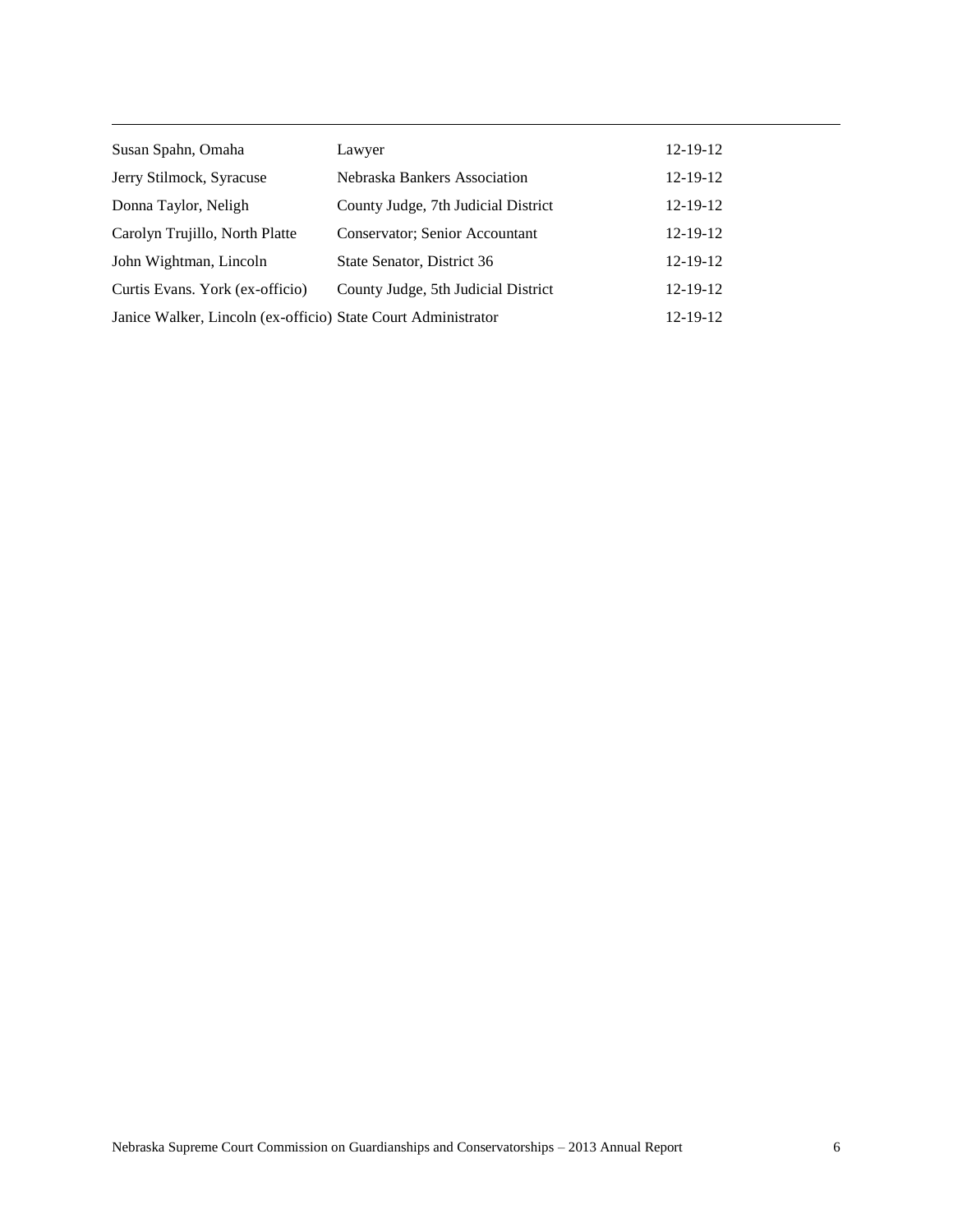| Susan Spahn, Omaha                                            | Lawyer                              | $12 - 19 - 12$ |
|---------------------------------------------------------------|-------------------------------------|----------------|
| Jerry Stilmock, Syracuse                                      | Nebraska Bankers Association        | $12 - 19 - 12$ |
| Donna Taylor, Neligh                                          | County Judge, 7th Judicial District | $12 - 19 - 12$ |
| Carolyn Trujillo, North Platte                                | Conservator; Senior Accountant      | $12 - 19 - 12$ |
| John Wightman, Lincoln                                        | State Senator, District 36          | $12 - 19 - 12$ |
| Curtis Evans. York (ex-officio)                               | County Judge, 5th Judicial District | $12 - 19 - 12$ |
| Janice Walker, Lincoln (ex-officio) State Court Administrator |                                     | 12-19-12       |

 $\overline{\phantom{a}}$